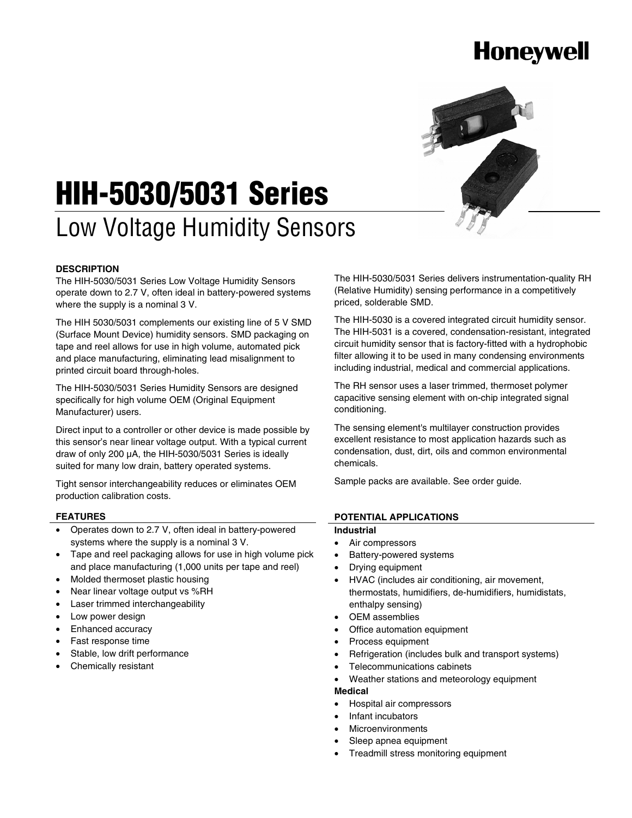# **Honeywell**



# **HIH-5030/5031 Series**

# Low Voltage Humidity Sensors

### **DESCRIPTION**

The HIH-5030/5031 Series Low Voltage Humidity Sensors operate down to 2.7 V, often ideal in battery-powered systems where the supply is a nominal 3 V.

The HIH 5030/5031 complements our existing line of 5 V SMD (Surface Mount Device) humidity sensors. SMD packaging on tape and reel allows for use in high volume, automated pick and place manufacturing, eliminating lead misalignment to printed circuit board through-holes.

The HIH-5030/5031 Series Humidity Sensors are designed specifically for high volume OEM (Original Equipment Manufacturer) users.

Direct input to a controller or other device is made possible by this sensor's near linear voltage output. With a typical current draw of only 200 μA, the HIH-5030/5031 Series is ideally suited for many low drain, battery operated systems.

Tight sensor interchangeability reduces or eliminates OEM production calibration costs.

#### **FEATURES**

- Operates down to 2.7 V, often ideal in battery-powered systems where the supply is a nominal 3 V.
- Tape and reel packaging allows for use in high volume pick and place manufacturing (1,000 units per tape and reel)
- Molded thermoset plastic housing
- Near linear voltage output vs %RH
- Laser trimmed interchangeability
- Low power design
- Enhanced accuracy
- Fast response time
- Stable, low drift performance
- Chemically resistant

The HIH-5030/5031 Series delivers instrumentation-quality RH (Relative Humidity) sensing performance in a competitively priced, solderable SMD.

The HIH-5030 is a covered integrated circuit humidity sensor. The HIH-5031 is a covered, condensation-resistant, integrated circuit humidity sensor that is factory-fitted with a hydrophobic filter allowing it to be used in many condensing environments including industrial, medical and commercial applications.

The RH sensor uses a laser trimmed, thermoset polymer capacitive sensing element with on-chip integrated signal conditioning.

The sensing element's multilayer construction provides excellent resistance to most application hazards such as condensation, dust, dirt, oils and common environmental chemicals.

Sample packs are available. See order guide.

#### **POTENTIAL APPLICATIONS**

### **Industrial**

- Air compressors
- Battery-powered systems
- Drying equipment
- HVAC (includes air conditioning, air movement, thermostats, humidifiers, de-humidifiers, humidistats, enthalpy sensing)
- OEM assemblies
- Office automation equipment
- Process equipment
- Refrigeration (includes bulk and transport systems)
- Telecommunications cabinets
- Weather stations and meteorology equipment

#### **Medical**

- Hospital air compressors
- Infant incubators
- **Microenvironments**
- Sleep apnea equipment
- Treadmill stress monitoring equipment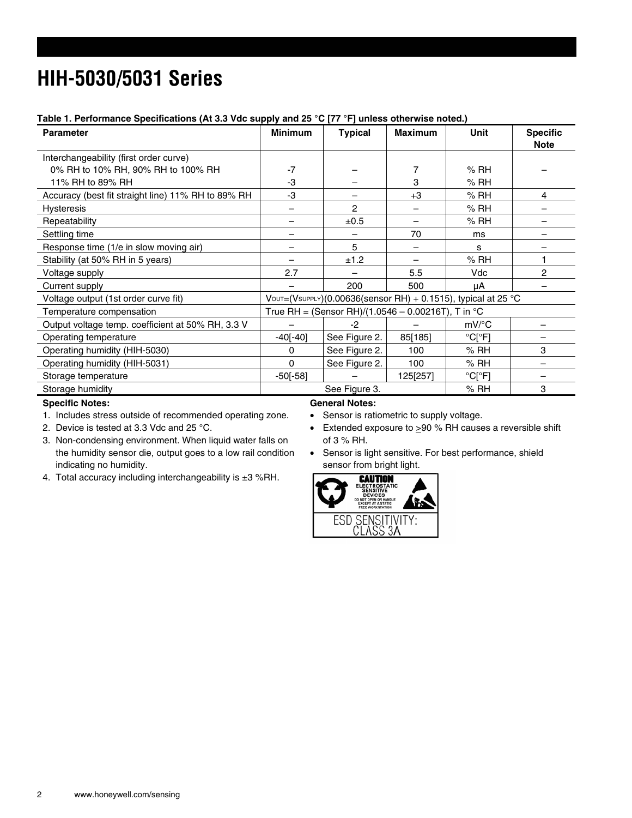# **HIH-5030/5031 Series**

### **Table 1. Performance Specifications (At 3.3 Vdc supply and 25 °C [77 °F] unless otherwise noted.)**

| <b>Parameter</b>                                   | <b>Minimum</b>                                                   | <b>Typical</b> | <b>Maximum</b> | Unit                        | <b>Specific</b><br><b>Note</b> |
|----------------------------------------------------|------------------------------------------------------------------|----------------|----------------|-----------------------------|--------------------------------|
| Interchangeability (first order curve)             |                                                                  |                |                |                             |                                |
| 0% RH to 10% RH, 90% RH to 100% RH                 | $-7$                                                             |                | 7              | % RH                        |                                |
| 11% RH to 89% RH                                   | -3                                                               |                | 3              | % RH                        |                                |
| Accuracy (best fit straight line) 11% RH to 89% RH | -3                                                               |                | $+3$           | % RH                        | 4                              |
| Hysteresis                                         |                                                                  | 2              |                | % RH                        |                                |
| Repeatability                                      |                                                                  | ±0.5           |                | % RH                        |                                |
| Settling time                                      |                                                                  |                | 70             | ms                          |                                |
| Response time (1/e in slow moving air)             |                                                                  | 5              | -              | S                           |                                |
| Stability (at 50% RH in 5 years)                   |                                                                  | ±1.2           |                | % RH                        |                                |
| Voltage supply                                     | 2.7                                                              |                | 5.5            | Vdc                         | $\overline{2}$                 |
| Current supply                                     |                                                                  | 200            | 500            | μA                          |                                |
| Voltage output (1st order curve fit)               | $V$ OUT=(VsUPPLY)(0.00636(sensor RH) + 0.1515), typical at 25 °C |                |                |                             |                                |
| Temperature compensation                           | True RH = (Sensor RH)/(1.0546 - 0.00216T), T in $^{\circ}$ C     |                |                |                             |                                |
| Output voltage temp. coefficient at 50% RH, 3.3 V  |                                                                  | -2             |                | $mV$ <sup>o</sup> C         |                                |
| Operating temperature                              | $-40[-40]$                                                       | See Figure 2.  | 85[185]        | $^{\circ}$ Cr $^{\circ}$ F1 |                                |
| Operating humidity (HIH-5030)                      | 0                                                                | See Figure 2.  | 100            | % RH                        | 3                              |
| Operating humidity (HIH-5031)                      | $\Omega$                                                         | See Figure 2.  | 100            | % RH                        |                                |
| Storage temperature                                | $-50[-58]$                                                       |                | 125[257]       | $^{\circ}$ C[ $^{\circ}$ F] |                                |
| Storage humidity                                   |                                                                  | See Figure 3.  |                | % RH                        | 3                              |

#### **Specific Notes:**

1. Includes stress outside of recommended operating zone.

2. Device is tested at 3.3 Vdc and 25 °C.

- 3. Non-condensing environment. When liquid water falls on the humidity sensor die, output goes to a low rail condition indicating no humidity.
- 4. Total accuracy including interchangeability is  $\pm 3$  %RH.

### **General Notes:**

• Sensor is ratiometric to supply voltage.

- Extended exposure to  $\geq 90$  % RH causes a reversible shift of 3 % RH.
- Sensor is light sensitive. For best performance, shield sensor from bright light.

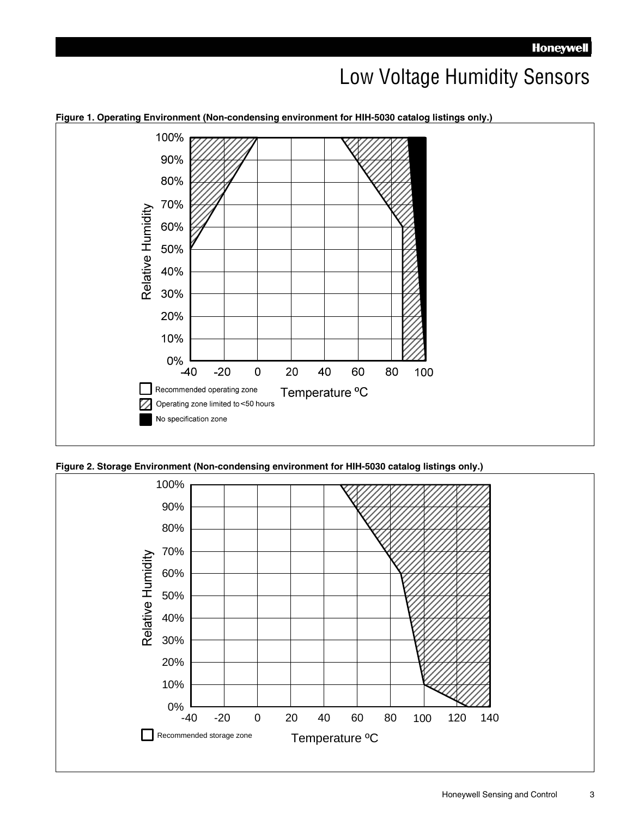### Low Voltage Humidity Sensors



**Figure 1. Operating Environment (Non-condensing environment for HIH-5030 catalog listings only.)**



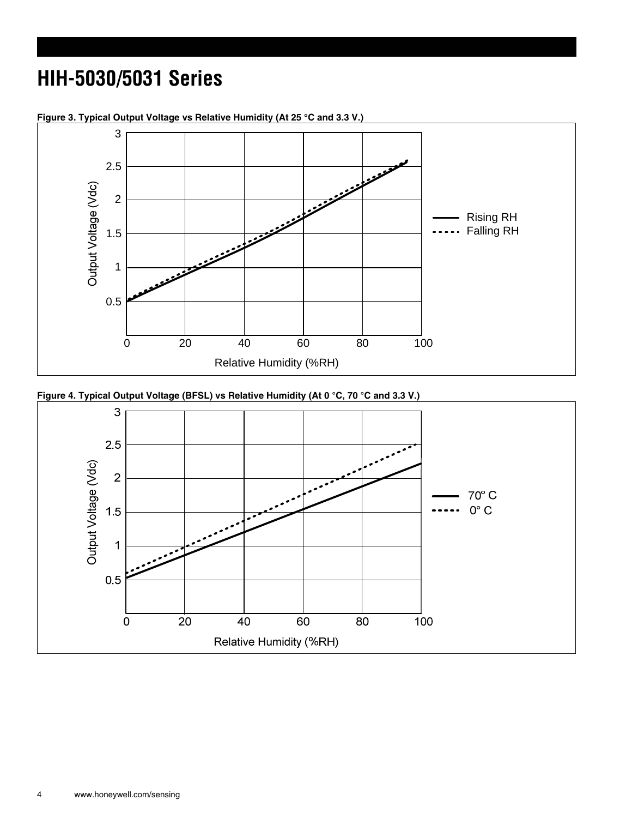# **HIH-5030/5031 Series**



**Figure 3. Typical Output Voltage vs Relative Humidity (At 25 °C and 3.3 V.)** 



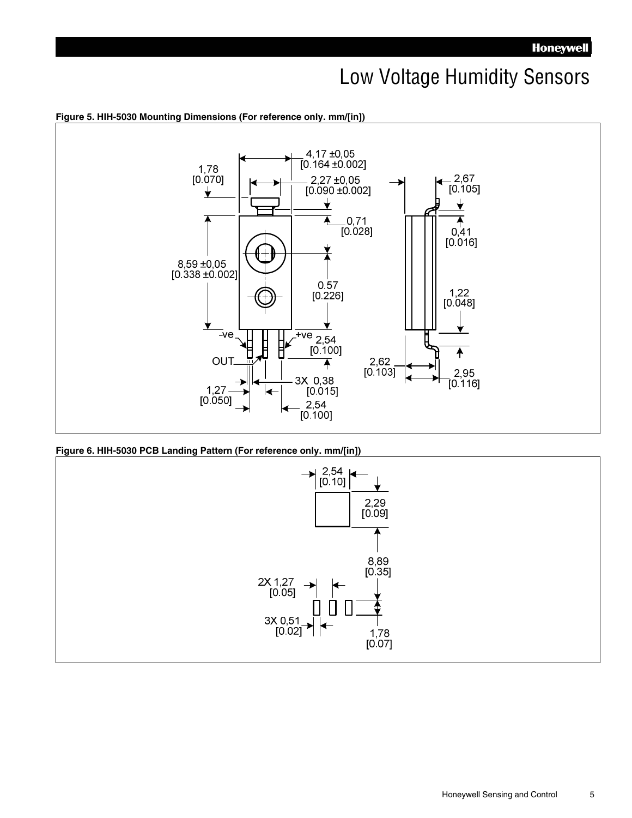### Low Voltage Humidity Sensors



**Figure 6. HIH-5030 PCB Landing Pattern (For reference only. mm/[in])** 

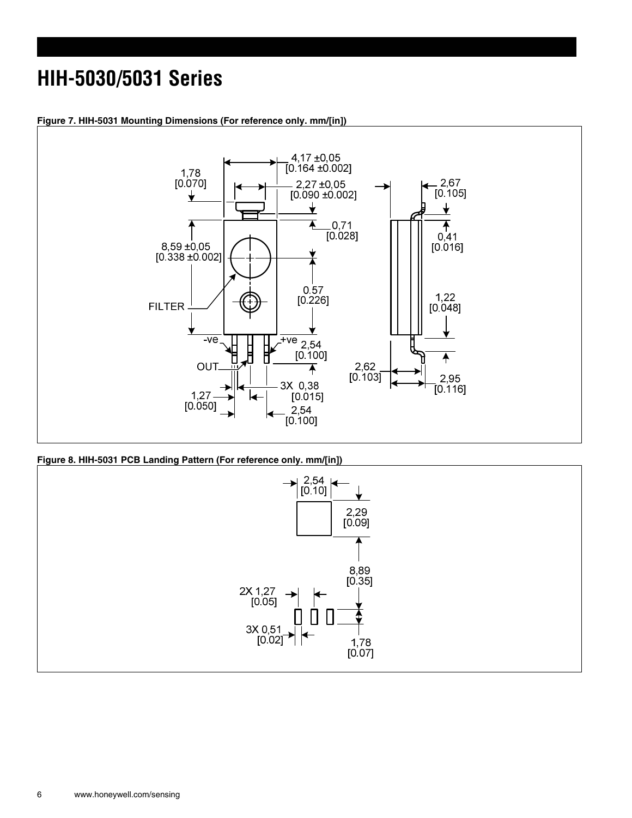# **HIH-5030/5031 Series**



**Figure 7. HIH-5031 Mounting Dimensions (For reference only. mm/[in])** 

**Figure 8. HIH-5031 PCB Landing Pattern (For reference only. mm/[in])** 

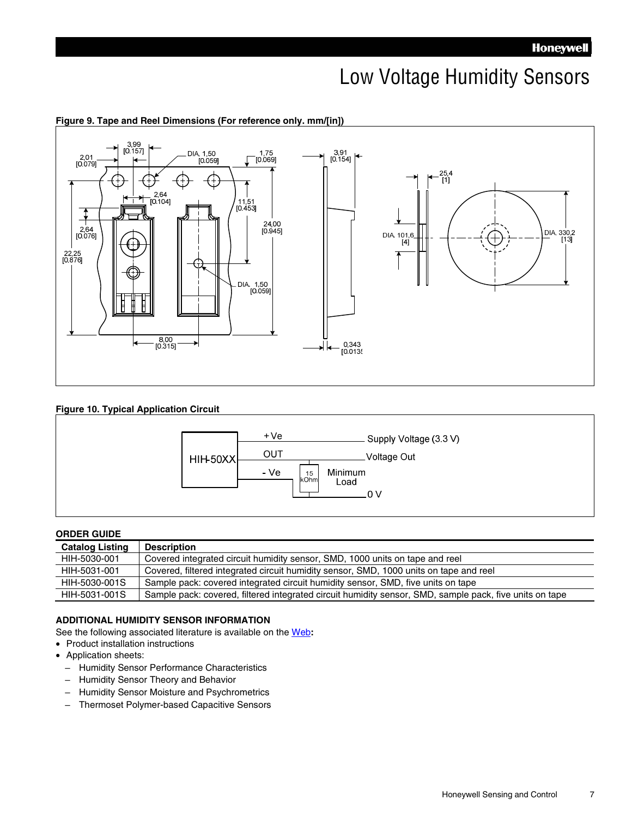### Low Voltage Humidity Sensors



### **Figure 9. Tape and Reel Dimensions (For reference only. mm/[in])**

### **Figure 10. Typical Application Circuit**



### **ORDER GUIDE**

| <b>Catalog Listing</b> | <b>Description</b>                                                                                      |
|------------------------|---------------------------------------------------------------------------------------------------------|
| HIH-5030-001           | Covered integrated circuit humidity sensor, SMD, 1000 units on tape and reel                            |
| HIH-5031-001           | Covered, filtered integrated circuit humidity sensor, SMD, 1000 units on tape and reel                  |
| HIH-5030-001S          | Sample pack: covered integrated circuit humidity sensor, SMD, five units on tape                        |
| HIH-5031-001S          | Sample pack: covered, filtered integrated circuit humidity sensor, SMD, sample pack, five units on tape |

### **ADDITIONAL HUMIDITY SENSOR INFORMATION**

See the following associated literature is available on the Web**:**

- Product installation instructions
- Application sheets:
	- Humidity Sensor Performance Characteristics
	- Humidity Sensor Theory and Behavior
	- Humidity Sensor Moisture and Psychrometrics
	- Thermoset Polymer-based Capacitive Sensors